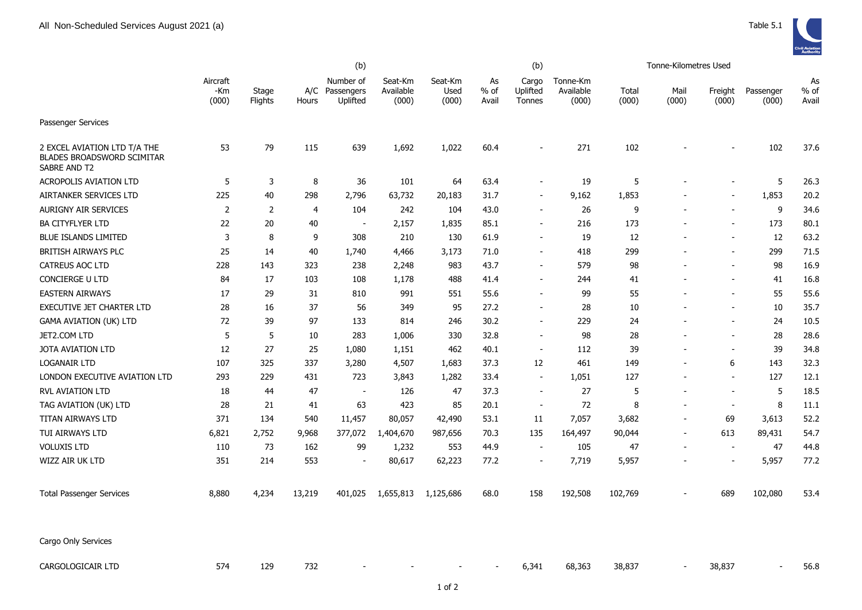|                                                                                   |                          |                  | (b)    |                                         |                               |                          |                       | (b)                         |                                |                | Tonne-Kilometres Used |                          |                    |                       |
|-----------------------------------------------------------------------------------|--------------------------|------------------|--------|-----------------------------------------|-------------------------------|--------------------------|-----------------------|-----------------------------|--------------------------------|----------------|-----------------------|--------------------------|--------------------|-----------------------|
|                                                                                   | Aircraft<br>-Km<br>(000) | Stage<br>Flights | Hours  | Number of<br>A/C Passengers<br>Uplifted | Seat-Km<br>Available<br>(000) | Seat-Km<br>Used<br>(000) | As<br>$%$ of<br>Avail | Cargo<br>Uplifted<br>Tonnes | Tonne-Km<br>Available<br>(000) | Total<br>(000) | Mail<br>(000)         | Freight<br>(000)         | Passenger<br>(000) | As<br>$%$ of<br>Avail |
| Passenger Services                                                                |                          |                  |        |                                         |                               |                          |                       |                             |                                |                |                       |                          |                    |                       |
| 2 EXCEL AVIATION LTD T/A THE<br><b>BLADES BROADSWORD SCIMITAR</b><br>SABRE AND T2 | 53                       | 79               | 115    | 639                                     | 1,692                         | 1,022                    | 60.4                  | $\blacksquare$              | 271                            | 102            |                       |                          | 102                | 37.6                  |
| <b>ACROPOLIS AVIATION LTD</b>                                                     | 5                        | 3                | 8      | 36                                      | 101                           | 64                       | 63.4                  |                             | 19                             | 5              |                       |                          | 5                  | 26.3                  |
| AIRTANKER SERVICES LTD                                                            | 225                      | 40               | 298    | 2,796                                   | 63,732                        | 20,183                   | 31.7                  | $\blacksquare$              | 9,162                          | 1,853          |                       | $\blacksquare$           | 1,853              | 20.2                  |
| <b>AURIGNY AIR SERVICES</b>                                                       | 2                        | 2                | 4      | 104                                     | 242                           | 104                      | 43.0                  | $\overline{\phantom{a}}$    | 26                             | 9              |                       | $\overline{a}$           | 9                  | 34.6                  |
| <b>BA CITYFLYER LTD</b>                                                           | 22                       | 20               | 40     | $\overline{\phantom{a}}$                | 2,157                         | 1,835                    | 85.1                  | $\blacksquare$              | 216                            | 173            |                       | $\overline{\phantom{a}}$ | 173                | 80.1                  |
| <b>BLUE ISLANDS LIMITED</b>                                                       | 3                        | 8                | 9      | 308                                     | 210                           | 130                      | 61.9                  | $\overline{\phantom{0}}$    | 19                             | 12             |                       | $\overline{\phantom{a}}$ | 12                 | 63.2                  |
| <b>BRITISH AIRWAYS PLC</b>                                                        | 25                       | 14               | 40     | 1,740                                   | 4,466                         | 3,173                    | 71.0                  | $\overline{\phantom{0}}$    | 418                            | 299            |                       | $\overline{\phantom{a}}$ | 299                | 71.5                  |
| CATREUS AOC LTD                                                                   | 228                      | 143              | 323    | 238                                     | 2,248                         | 983                      | 43.7                  | ÷,                          | 579                            | 98             |                       | $\blacksquare$           | 98                 | 16.9                  |
| CONCIERGE U LTD                                                                   | 84                       | 17               | 103    | 108                                     | 1,178                         | 488                      | 41.4                  | $\overline{a}$              | 244                            | 41             |                       | $\overline{\phantom{a}}$ | 41                 | 16.8                  |
| <b>EASTERN AIRWAYS</b>                                                            | 17                       | 29               | 31     | 810                                     | 991                           | 551                      | 55.6                  | $\blacksquare$              | 99                             | 55             |                       | $\blacksquare$           | 55                 | 55.6                  |
| EXECUTIVE JET CHARTER LTD                                                         | 28                       | 16               | 37     | 56                                      | 349                           | 95                       | 27.2                  | ÷                           | 28                             | 10             |                       | $\sim$                   | 10                 | 35.7                  |
| <b>GAMA AVIATION (UK) LTD</b>                                                     | 72                       | 39               | 97     | 133                                     | 814                           | 246                      | 30.2                  | ۰                           | 229                            | 24             |                       | $\overline{\phantom{a}}$ | 24                 | 10.5                  |
| JET2.COM LTD                                                                      | 5                        | 5                | 10     | 283                                     | 1,006                         | 330                      | 32.8                  | $\overline{a}$              | 98                             | 28             |                       | $\overline{\phantom{a}}$ | 28                 | 28.6                  |
| <b>JOTA AVIATION LTD</b>                                                          | 12                       | 27               | 25     | 1,080                                   | 1,151                         | 462                      | 40.1                  | $\overline{a}$              | 112                            | 39             |                       | $\overline{\phantom{a}}$ | 39                 | 34.8                  |
| <b>LOGANAIR LTD</b>                                                               | 107                      | 325              | 337    | 3,280                                   | 4,507                         | 1,683                    | 37.3                  | 12                          | 461                            | 149            |                       | 6                        | 143                | 32.3                  |
| LONDON EXECUTIVE AVIATION LTD                                                     | 293                      | 229              | 431    | 723                                     | 3,843                         | 1,282                    | 33.4                  | $\overline{a}$              | 1,051                          | 127            |                       | $\overline{\phantom{a}}$ | 127                | 12.1                  |
| <b>RVL AVIATION LTD</b>                                                           | 18                       | 44               | 47     | $\sim$                                  | 126                           | 47                       | 37.3                  | $\blacksquare$              | 27                             | 5              |                       | $\sim$                   | 5                  | 18.5                  |
| TAG AVIATION (UK) LTD                                                             | 28                       | 21               | 41     | 63                                      | 423                           | 85                       | 20.1                  | $\overline{\phantom{a}}$    | 72                             | 8              |                       | $\sim$                   | 8                  | 11.1                  |
| TITAN AIRWAYS LTD                                                                 | 371                      | 134              | 540    | 11,457                                  | 80,057                        | 42,490                   | 53.1                  | 11                          | 7,057                          | 3,682          |                       | 69                       | 3,613              | 52.2                  |
| TUI AIRWAYS LTD                                                                   | 6,821                    | 2,752            | 9,968  | 377,072                                 | 1,404,670                     | 987,656                  | 70.3                  | 135                         | 164,497                        | 90,044         |                       | 613                      | 89,431             | 54.7                  |
| <b>VOLUXIS LTD</b>                                                                | 110                      | 73               | 162    | 99                                      | 1,232                         | 553                      | 44.9                  | $\overline{\phantom{a}}$    | 105                            | 47             |                       | $\sim$                   | 47                 | 44.8                  |
| WIZZ AIR UK LTD                                                                   | 351                      | 214              | 553    | $\overline{\phantom{a}}$                | 80,617                        | 62,223                   | 77.2                  | $\overline{\phantom{a}}$    | 7,719                          | 5,957          |                       | $\overline{\phantom{a}}$ | 5,957              | 77.2                  |
| <b>Total Passenger Services</b>                                                   | 8,880                    | 4,234            | 13,219 | 401,025                                 | 1,655,813                     | 1,125,686                | 68.0                  | 158                         | 192,508                        | 102,769        |                       | 689                      | 102,080            | 53.4                  |
| Cargo Only Services                                                               |                          |                  |        |                                         |                               |                          |                       |                             |                                |                |                       |                          |                    |                       |
| CARGOLOGICAIR LTD                                                                 | 574                      | 129              | 732    |                                         |                               |                          |                       | 6,341                       | 68,363                         | 38,837         |                       | 38,837                   | $\sim$             | 56.8                  |